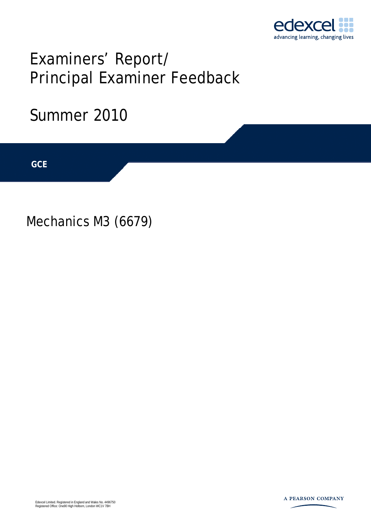

# Examiners' Report/ Principal Examiner Feedback

## Summer 2010

**IGCSE GCE** 

Mechanics M3 (6679)

Edexcel Limited. Registered in England and Wales No. 4496750 Registered Office: One90 High Holborn, London WC1V 7BH

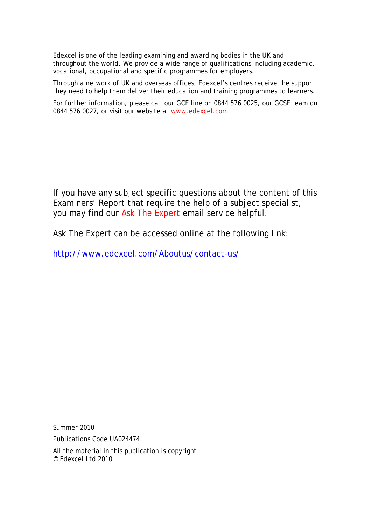Edexcel is one of the leading examining and awarding bodies in the UK and throughout the world. We provide a wide range of qualifications including academic, vocational, occupational and specific programmes for employers.

Through a network of UK and overseas offices, Edexcel's centres receive the support they need to help them deliver their education and training programmes to learners.

For further information, please call our GCE line on 0844 576 0025, our GCSE team on 0844 576 0027, or visit our website at www.edexcel.com.

If you have any subject specific questions about the content of this Examiners' Report that require the help of a subject specialist, you may find our Ask The Expert email service helpful.

Ask The Expert can be accessed online at the following link:

http://www.edexcel.com/Aboutus/contact-us/

Summer 2010

Publications Code UA024474

All the material in this publication is copyright © Edexcel Ltd 2010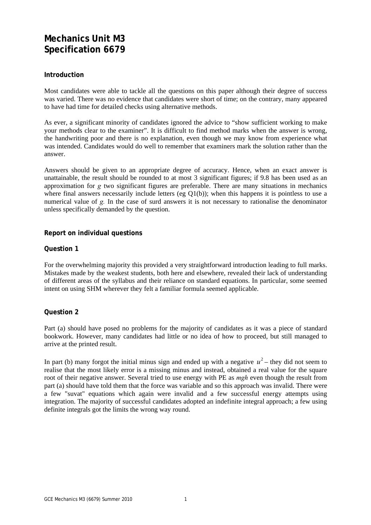### **Mechanics Unit M3 Specification 6679**

#### **Introduction**

Most candidates were able to tackle all the questions on this paper although their degree of success was varied. There was no evidence that candidates were short of time; on the contrary, many appeared to have had time for detailed checks using alternative methods.

As ever, a significant minority of candidates ignored the advice to "show sufficient working to make your methods clear to the examiner". It is difficult to find method marks when the answer is wrong, the handwriting poor and there is no explanation, even though we may know from experience what was intended. Candidates would do well to remember that examiners mark the solution rather than the answer.

Answers should be given to an appropriate degree of accuracy. Hence, when an exact answer is unattainable, the result should be rounded to at most 3 significant figures; if 9.8 has been used as an approximation for *g* two significant figures are preferable. There are many situations in mechanics where final answers necessarily include letters (eg Q1(b)); when this happens it is pointless to use a numerical value of *g.* In the case of surd answers it is not necessary to rationalise the denominator unless specifically demanded by the question.

#### **Report on individual questions**

#### **Question 1**

For the overwhelming majority this provided a very straightforward introduction leading to full marks. Mistakes made by the weakest students, both here and elsewhere, revealed their lack of understanding of different areas of the syllabus and their reliance on standard equations. In particular, some seemed intent on using SHM wherever they felt a familiar formula seemed applicable.

#### **Question 2**

Part (a) should have posed no problems for the majority of candidates as it was a piece of standard bookwork. However, many candidates had little or no idea of how to proceed, but still managed to arrive at the printed result.

In part (b) many forgot the initial minus sign and ended up with a negative  $u^2$  – they did not seem to realise that the most likely error is a missing minus and instead, obtained a real value for the square root of their negative answer. Several tried to use energy with PE as *mgh* even though the result from part (a) should have told them that the force was variable and so this approach was invalid. There were a few "suvat" equations which again were invalid and a few successful energy attempts using integration. The majority of successful candidates adopted an indefinite integral approach; a few using definite integrals got the limits the wrong way round.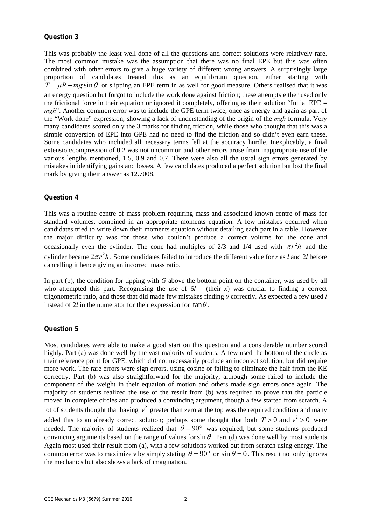#### **Question 3**

This was probably the least well done of all the questions and correct solutions were relatively rare. The most common mistake was the assumption that there was no final EPE but this was often combined with other errors to give a huge variety of different wrong answers. A surprisingly large proportion of candidates treated this as an equilibrium question, either starting with  $T = \mu R + mg \sin \theta$  or slipping an EPE term in as well for good measure. Others realised that it was an energy question but forgot to include the work done against friction; these attempts either used only the frictional force in their equation or ignored it completely, offering as their solution "Initial EPE  $=$ *mgh*". Another common error was to include the GPE term twice, once as energy and again as part of the "Work done" expression, showing a lack of understanding of the origin of the *mgh* formula. Very many candidates scored only the 3 marks for finding friction, while those who thought that this was a simple conversion of EPE into GPE had no need to find the friction and so didn't even earn these. Some candidates who included all necessary terms fell at the accuracy hurdle. Inexplicably, a final extension/compression of 0.2 was not uncommon and other errors arose from inappropriate use of the various lengths mentioned, 1.5, 0.9 and 0.7. There were also all the usual sign errors generated by mistakes in identifying gains and losses. A few candidates produced a perfect solution but lost the final mark by giving their answer as 12.7008.

#### **Question 4**

This was a routine centre of mass problem requiring mass and associated known centre of mass for standard volumes, combined in an appropriate moments equation. A few mistakes occurred when candidates tried to write down their moments equation without detailing each part in a table. However the major difficulty was for those who couldn't produce a correct volume for the cone and occasionally even the cylinder. The cone had multiples of 2/3 and 1/4 used with  $\pi r^2 h$  and the cylinder became  $2\pi r^2 h$ . Some candidates failed to introduce the different value for *r* as *l* and 2*l* before cancelling it hence giving an incorrect mass ratio.

In part (b), the condition for tipping with *G* above the bottom point on the container, was used by all who attempted this part. Recognising the use of  $6*l*$  – (their *x*) was crucial to finding a correct trigonometric ratio, and those that did made few mistakes finding *θ* correctly. As expected a few used *l* instead of 2*l* in the numerator for their expression for  $\tan \theta$ .

#### **Question 5**

Most candidates were able to make a good start on this question and a considerable number scored highly. Part (a) was done well by the vast majority of students. A few used the bottom of the circle as their reference point for GPE, which did not necessarily produce an incorrect solution, but did require more work. The rare errors were sign errors, using cosine or failing to eliminate the half from the KE correctly. Part (b) was also straightforward for the majority, although some failed to include the component of the weight in their equation of motion and others made sign errors once again. The majority of students realized the use of the result from (b) was required to prove that the particle moved in complete circles and produced a convincing argument, though a few started from scratch. A lot of students thought that having  $v^2$  greater than zero at the top was the required condition and many added this to an already correct solution; perhaps some thought that both  $T > 0$  and  $v^2 > 0$  were needed. The majority of students realized that  $\theta = 90^{\circ}$  was required, but some students produced convincing arguments based on the range of values for  $\sin \theta$ . Part (d) was done well by most students Again most used their result from (a), with a few solutions worked out from scratch using energy. The common error was to maximize *v* by simply stating  $\theta = 90^{\circ}$  or sin  $\theta = 0$ . This result not only ignores the mechanics but also shows a lack of imagination.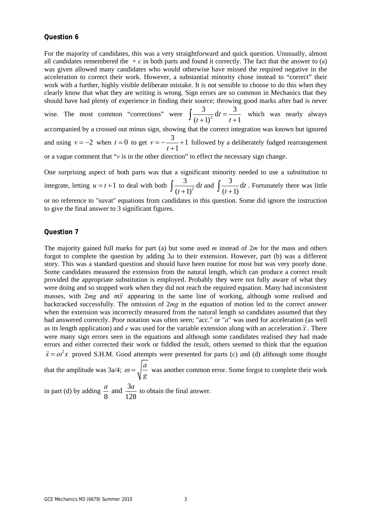#### **Question 6**

For the majority of candidates, this was a very straightforward and quick question. Unusually, almost all candidates remembered the  $+c$  in both parts and found it correctly. The fact that the answer to (a) was given allowed many candidates who would otherwise have missed the required negative in the acceleration to correct their work. However, a substantial minority chose instead to "correct" their work with a further, highly visible deliberate mistake. It is not sensible to choose to do this when they clearly know that what they are writing is wrong. Sign errors are so common in Mechanics that they should have had plenty of experience in finding their source; throwing good marks after bad is never

wise. The most common "corrections" were  $\int \frac{3}{(t+1)^2} dt = \frac{3}{t+1}$  $(t+1)^2$   $t+1$  $\int \frac{3}{(t+1)^2} dt = \frac{3}{t+1}$  which was nearly always accompanied by a crossed out minus sign, showing that the correct integration was known but ignored and using  $v = -2$  when  $t = 0$  to get  $v = -\frac{3}{2} + 1$ 1  $v = -\frac{3}{t+1} +$  followed by a deliberately fudged rearrangement or a vague comment that "*v* is in the other direction" to effect the necessary sign change.

One surprising aspect of both parts was that a significant minority needed to use a substitution to integrate, letting  $u = t + 1$  to deal with both  $\int \frac{3}{(t+1)^2} dt$  $(t+1)$  $\int \frac{3}{(t+1)^2} dt$  and  $\int \frac{3}{(t+1)} dt$  $\int \frac{3}{(t+1)} dt$ . Fortunately there was little or no reference to "suvat" equations from candidates in this question. Some did ignore the instruction to give the final answer to 3 significant figures.

#### **Question 7**

The majority gained full marks for part (a) but some used *m* instead of 2*m* for the mass and others forgot to complete the question by adding 3*a* to their extension. However, part (b) was a different story. This was a standard question and should have been routine for most but was very poorly done. Some candidates measured the extension from the natural length, which can produce a correct result provided the appropriate substitution is employed. Probably they were not fully aware of what they were doing and so stopped work when they did not reach the required equation. Many had inconsistent masses, with 2*mg* and *mx* appearing in the same line of working, although some realised and backtracked successfully. The omission of 2*mg* in the equation of motion led to the correct answer when the extension was incorrectly measured from the natural length so candidates assumed that they had answered correctly. Poor notation was often seen; "acc." or "*a*" was used for acceleration (as well as its length application) and  $e$  was used for the variable extension along with an acceleration  $\ddot{x}$ . There were many sign errors seen in the equations and although some candidates realised they had made errors and either corrected their work or fiddled the result, others seemed to think that the equation  $\ddot{x} = \omega^2 x$  proved S.H.M. Good attempts were presented for parts (c) and (d) although some thought

that the amplitude was  $3a/4$ ;  $\omega = \sqrt{\frac{a}{a}}$ *g*  $\omega = \sqrt{\frac{u}{m}}$  was another common error. Some forgot to complete their work

in part (d) by adding  $\frac{a}{2}$  and  $\frac{3}{4}$ 8 128  $\frac{a}{a}$  and  $\frac{3a}{120}$  to obtain the final answer.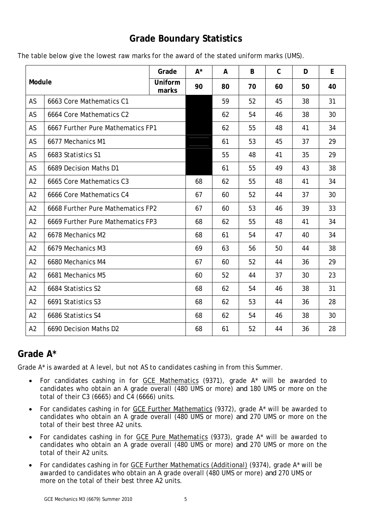## **Grade Boundary Statistics**

|  |  | The table below give the lowest raw marks for the award of the stated uniform marks (UMS). |
|--|--|--------------------------------------------------------------------------------------------|
|--|--|--------------------------------------------------------------------------------------------|

| Module         |                                   | Grade            | $A^*$ | A  | B  | $\mathsf C$ | D  | E  |
|----------------|-----------------------------------|------------------|-------|----|----|-------------|----|----|
|                |                                   | Uniform<br>marks | 90    | 80 | 70 | 60          | 50 | 40 |
| AS             | 6663 Core Mathematics C1          |                  |       | 59 | 52 | 45          | 38 | 31 |
| AS             | 6664 Core Mathematics C2          |                  |       | 62 | 54 | 46          | 38 | 30 |
| AS             | 6667 Further Pure Mathematics FP1 |                  |       | 62 | 55 | 48          | 41 | 34 |
| AS             | 6677 Mechanics M1                 |                  |       | 61 | 53 | 45          | 37 | 29 |
| AS             | 6683 Statistics S1                |                  |       | 55 | 48 | 41          | 35 | 29 |
| AS             | 6689 Decision Maths D1            |                  |       | 61 | 55 | 49          | 43 | 38 |
| A2             | 6665 Core Mathematics C3          |                  | 68    | 62 | 55 | 48          | 41 | 34 |
| A2             | 6666 Core Mathematics C4          |                  | 67    | 60 | 52 | 44          | 37 | 30 |
| A2             | 6668 Further Pure Mathematics FP2 |                  | 67    | 60 | 53 | 46          | 39 | 33 |
| A2             | 6669 Further Pure Mathematics FP3 |                  | 68    | 62 | 55 | 48          | 41 | 34 |
| A2             | 6678 Mechanics M2                 |                  | 68    | 61 | 54 | 47          | 40 | 34 |
| A2             | 6679 Mechanics M3                 |                  | 69    | 63 | 56 | 50          | 44 | 38 |
| A2             | 6680 Mechanics M4                 |                  | 67    | 60 | 52 | 44          | 36 | 29 |
| A2             | 6681 Mechanics M5                 |                  | 60    | 52 | 44 | 37          | 30 | 23 |
| A2             | 6684 Statistics S2                |                  | 68    | 62 | 54 | 46          | 38 | 31 |
| A2             | 6691 Statistics S3                |                  | 68    | 62 | 53 | 44          | 36 | 28 |
| A <sub>2</sub> | 6686 Statistics S4                |                  | 68    | 62 | 54 | 46          | 38 | 30 |
| A2             | 6690 Decision Maths D2            |                  | 68    | 61 | 52 | 44          | 36 | 28 |

## **Grade A\***

Grade A\* is awarded at A level, but not AS to candidates cashing in from this Summer.

- For candidates cashing in for GCE Mathematics (9371), grade A\* will be awarded to candidates who obtain an A grade overall (480 UMS or more) *and* 180 UMS or more on the total of their C3 (6665) and C4 (6666) units.
- For candidates cashing in for GCE Further Mathematics (9372), grade A\* will be awarded to candidates who obtain an A grade overall (480 UMS or more) *and* 270 UMS or more on the total of their best three A2 units.
- For candidates cashing in for GCE Pure Mathematics (9373), grade A\* will be awarded to candidates who obtain an A grade overall (480 UMS or more) *and* 270 UMS or more on the total of their A2 units.
- For candidates cashing in for GCE Further Mathematics (Additional) (9374), grade A\* will be awarded to candidates who obtain an A grade overall (480 UMS or more) *and* 270 UMS or more on the total of their best three A2 units.